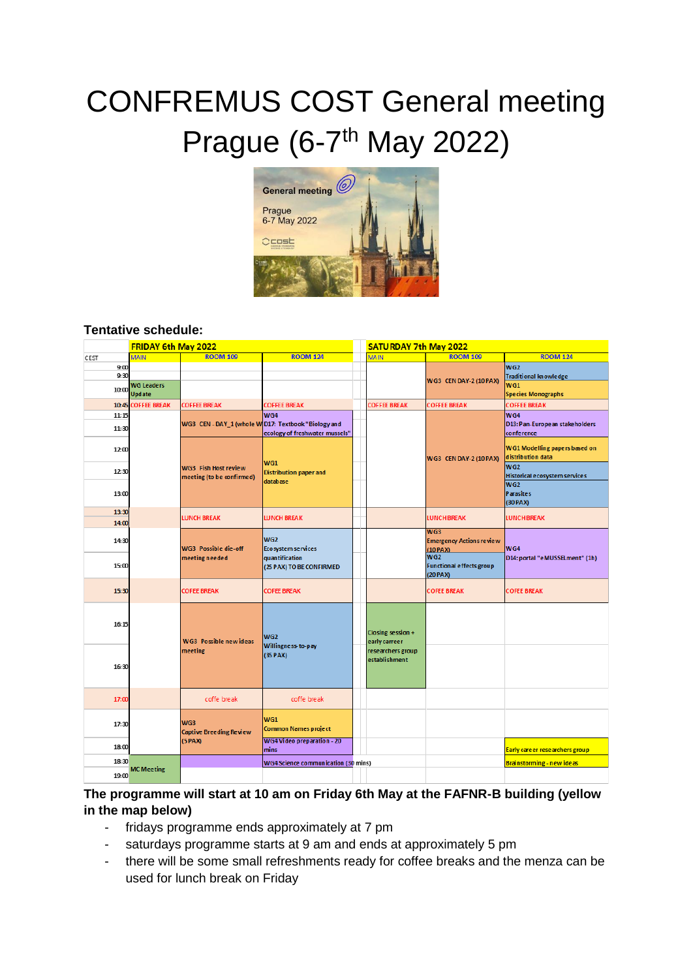# CONFREMUS COST General meeting Prague (6-7<sup>th</sup> May 2022)



#### **Tentative schedule:**

|              | FRIDAY 6th May 2022 |                                                          |                                                                                              |  | <b>SATURDAY 7th May 2022</b>        |                                        |                                                    |  |
|--------------|---------------------|----------------------------------------------------------|----------------------------------------------------------------------------------------------|--|-------------------------------------|----------------------------------------|----------------------------------------------------|--|
| CEST         | <b>MAIN</b>         | <b>ROOM 109</b>                                          | <b>ROOM 124</b>                                                                              |  | <b>MAIN</b>                         | <b>ROOM 109</b>                        | <b>ROOM 124</b>                                    |  |
| 9:00<br>9:30 |                     |                                                          |                                                                                              |  |                                     | WG3 CEN DAY-2 (10 PAX)                 | WG <sub>2</sub>                                    |  |
|              | <b>WG Leaders</b>   |                                                          |                                                                                              |  |                                     |                                        | <b>Traditional knowledge</b><br><b>WG1</b>         |  |
| 10:00        | <b>Update</b>       |                                                          |                                                                                              |  |                                     |                                        | <b>Species Monographs</b>                          |  |
| 10:45        | <b>COFFEE BREAK</b> | <b>COFFEE BREAK</b>                                      | <b>COFFEE BREAK</b>                                                                          |  | <b>COFFEE BREAK</b>                 | <b>COFFEE BREAK</b>                    | <b>COFFEE BREAK</b>                                |  |
| 11:15        |                     |                                                          | WG4<br>WG3 CEN - DAY_1 (whole W D17: Textbook "Biology and<br>ecology of freshwater mussels" |  |                                     |                                        | WG4                                                |  |
| 11:30        |                     |                                                          |                                                                                              |  |                                     |                                        | D13: Pan-European stakeholders<br>conference       |  |
| 12:00        |                     |                                                          |                                                                                              |  |                                     | WG3 CEN DAY-2 (10 PAX)                 | WG1 Modelling papers based on<br>distribution data |  |
| 12:30        |                     | <b>WG3 Fish Host review</b><br>meeting (to be confirmed) | WG1<br><b>Distribution paper and</b><br>database                                             |  |                                     |                                        | WG2<br>Historical ecosystem services               |  |
| 13:00        |                     |                                                          |                                                                                              |  |                                     |                                        | WG <sub>2</sub><br><b>Parasites</b>                |  |
|              |                     |                                                          |                                                                                              |  |                                     |                                        | (30 PAX)                                           |  |
| 13:30        |                     | <b>LUNCH BREAK</b>                                       | LUNCH BREAK                                                                                  |  |                                     | <b>LUNCH BREAK</b>                     | <b>LUNCH BREAK</b>                                 |  |
| 14:00        |                     |                                                          |                                                                                              |  |                                     |                                        |                                                    |  |
| 14:30        |                     | <b>WG3</b> Possible die-off                              | WG <sub>2</sub><br>Ecosystem services                                                        |  |                                     | WG3<br><b>Emergency Actions review</b> |                                                    |  |
|              |                     |                                                          |                                                                                              |  |                                     | (10 PAX)                               | WG4                                                |  |
| 15:00        |                     | meeting needed                                           | quantification<br>(25 PAX) TO BE CONFIRMED                                                   |  |                                     | WG2<br><b>Functional effects group</b> | D14: portal "eMUSSELment" (1h)                     |  |
|              |                     |                                                          |                                                                                              |  |                                     | (20 PAX)                               |                                                    |  |
| 15:30        |                     | <b>COFEE BREAK</b>                                       | <b>COFEE BREAK</b>                                                                           |  |                                     | <b>COFEE BREAK</b>                     | <b>COFEE BREAK</b>                                 |  |
| 16:15        |                     | <b>WG3</b> Possible new ideas<br>meeting                 | WG <sub>2</sub><br>Willingness-to-pay<br>(35 PAX)                                            |  | Closing session +<br>early carreer  |                                        |                                                    |  |
| 16:30        |                     |                                                          |                                                                                              |  | rese archers group<br>establishment |                                        |                                                    |  |
| 17:00        |                     | coffe break                                              | coffe break                                                                                  |  |                                     |                                        |                                                    |  |
| 17:30        |                     | WG3<br><b>Captive Breeding Review</b><br>(5 PAX)         | WG1<br><b>Common Names project</b>                                                           |  |                                     |                                        |                                                    |  |
| 18:00        |                     |                                                          | <b>WG4 Video preparation - 20</b><br>mins                                                    |  |                                     |                                        | Early care er researchers group                    |  |
| 18:30        |                     |                                                          | <b>WG4 Science communication (30 mins)</b>                                                   |  |                                     |                                        | Brainstorming - new ideas                          |  |
|              | <b>MC</b> Meeting   |                                                          |                                                                                              |  |                                     |                                        |                                                    |  |

#### **The programme will start at 10 am on Friday 6th May at the FAFNR-B building (yellow in the map below)**

- fridays programme ends approximately at 7 pm
- saturdays programme starts at 9 am and ends at approximately 5 pm
- there will be some small refreshments ready for coffee breaks and the menza can be used for lunch break on Friday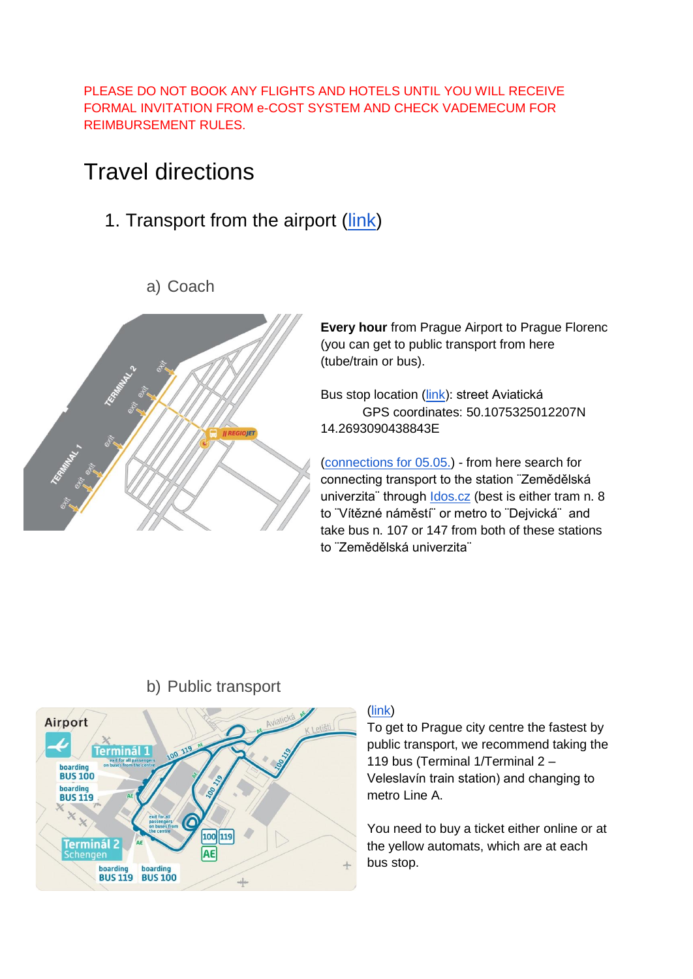PLEASE DO NOT BOOK ANY FLIGHTS AND HOTELS UNTIL YOU WILL RECEIVE FORMAL INVITATION FROM e-COST SYSTEM AND CHECK VADEMECUM FOR REIMBURSEMENT RULES.

## Travel directions

1. Transport from the airport [\(link\)](https://www.prg.aero/en/transport-airport)

### a) Coach



**Every hour** from Prague Airport to Prague Florenc (you can get to public transport from here (tube/train or bus).

Bus stop location [\(link\)](https://www.regiojet.com/timetables-and-stops/stops/17552003.html): street Aviatická GPS coordinates: 50.1075325012207N 14.2693090438843E

[\(connections for 05.05.\)](https://shop.regiojet.cz/?departureDate=2022-05-05&fromLocationId=17552003&fromLocationType=STATION&tariffs=REGULAR&toLocationId=10204003&toLocationType=STATION) - from here search for connecting transport to the station ¨Zemědělská univerzita" through **Idos.cz** (best is either tram n. 8 to "Vítězné náměstí" or metro to "Dejvická" and take bus n. 107 or 147 from both of these stations to ¨Zemědělská univerzita¨



### b) Public transport

#### [\(link\)](https://www.prg.aero/en/public-transport-buses)

To get to Prague city centre the fastest by public transport, we recommend taking the 119 bus (Terminal 1/Terminal 2 – Veleslavín train station) and changing to metro Line A.

You need to buy a ticket either online or at the yellow automats, which are at each bus stop.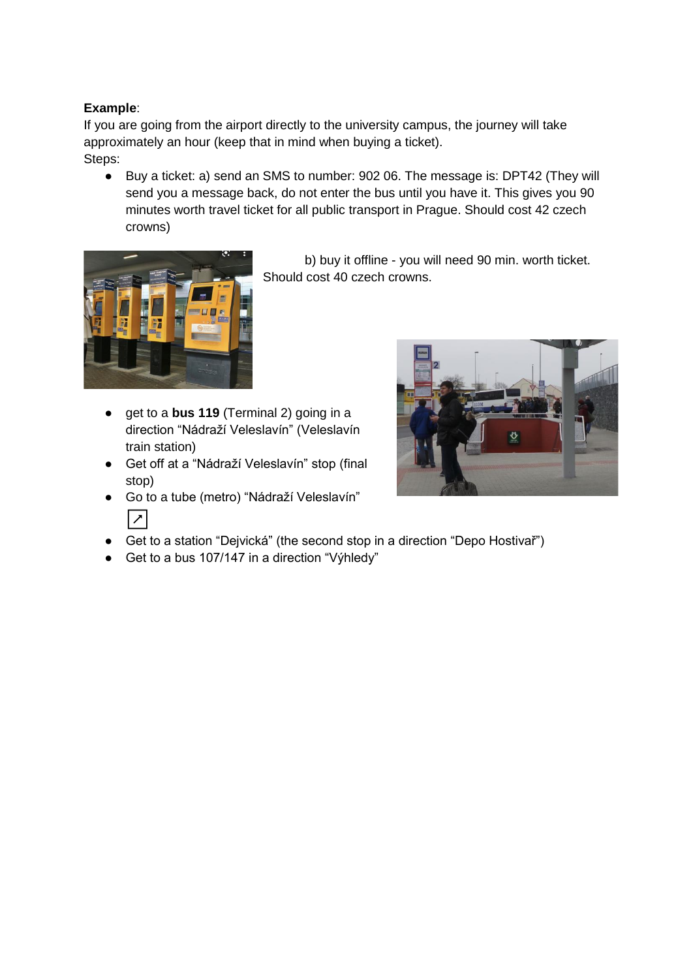#### **Example**:

If you are going from the airport directly to the university campus, the journey will take approximately an hour (keep that in mind when buying a ticket). Steps:

● Buy a ticket: a) send an SMS to number: 902 06. The message is: DPT42 (They will send you a message back, do not enter the bus until you have it. This gives you 90 minutes worth travel ticket for all public transport in Prague. Should cost 42 czech crowns)



b) buy it offline - you will need 90 min. worth ticket. Should cost 40 czech crowns.

- get to a **bus 119** (Terminal 2) going in a direction "Nádraží Veleslavín" (Veleslavín train station)
- Get off at a "Nádraží Veleslavín" stop (final stop)



- Go to a tube (metro) "Nádraží Veleslavín" ↗
- Get to a station "Dejvická" (the second stop in a direction "Depo Hostivař")
- Get to a bus 107/147 in a direction "Výhledy"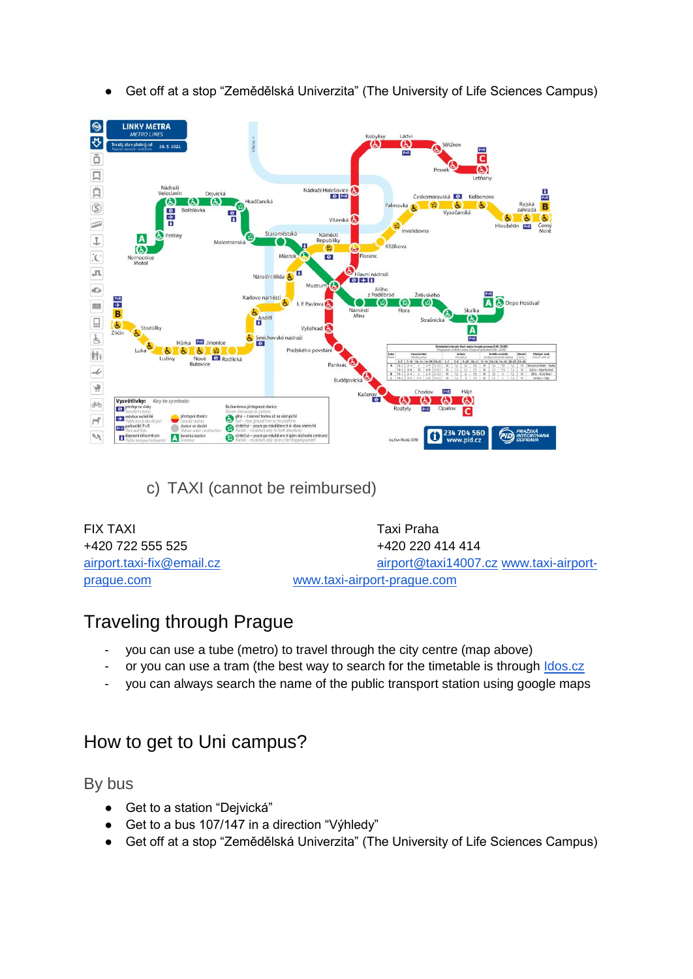

● Get off at a stop "Zemědělská Univerzita" (The University of Life Sciences Campus)

c) TAXI (cannot be reimbursed)

| <b>FIX TAXI</b>           | Taxi Praha                             |
|---------------------------|----------------------------------------|
| +420 722 555 525          | +420 220 414 414                       |
| airport.taxi-fix@email.cz | airport@taxi14007.cz www.taxi-airport- |
| prague.com                | www.taxi-airport-prague.com            |

### Traveling through Prague

- you can use a tube (metro) to travel through the city centre (map above)
- or you can use a tram (the best way to search for the timetable is through **Idos.cz**
- you can always search the name of the public transport station using google maps

### How to get to Uni campus?

By bus

- Get to a station "Dejvická"
- Get to a bus 107/147 in a direction "Výhledy"
- Get off at a stop "Zemědělská Univerzita" (The University of Life Sciences Campus)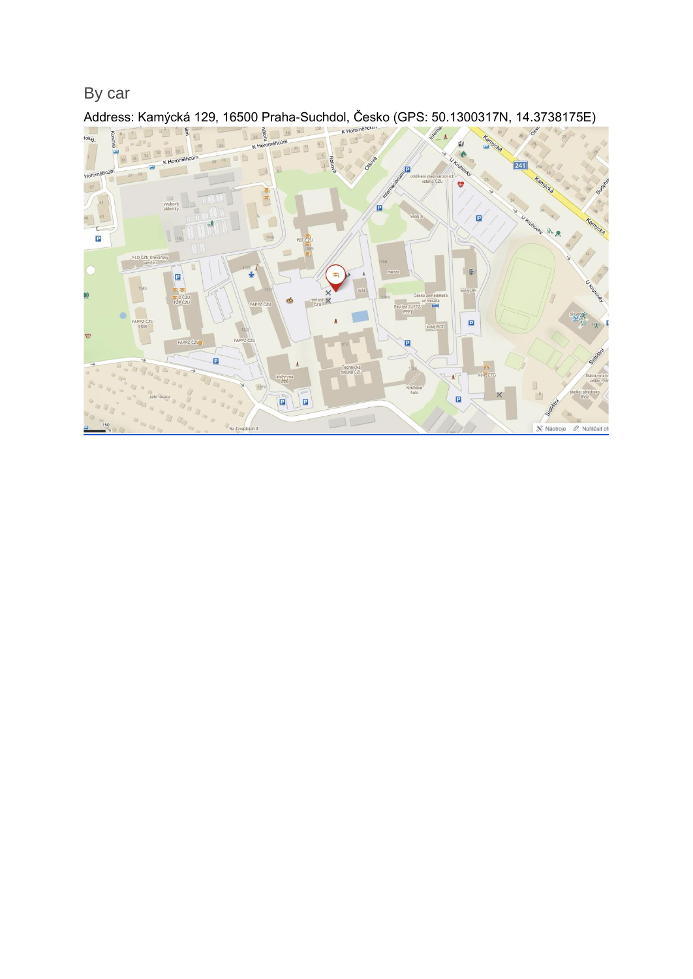By car



Address: Kamýcká 129, 16500 Praha-Suchdol, Česko (GPS: 50.1300317N, 14.3738175E)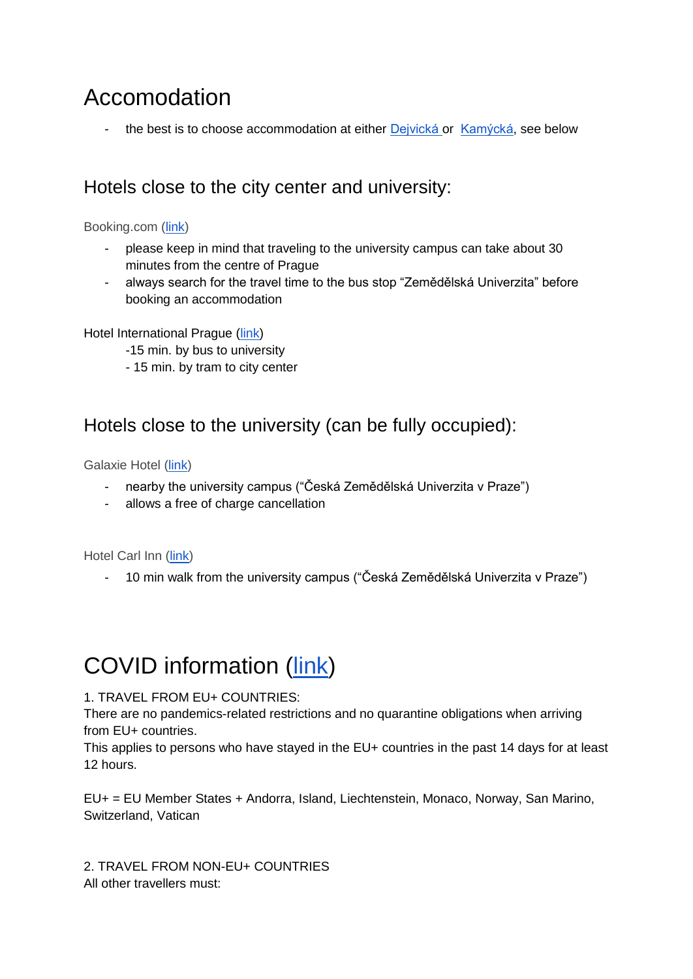# Accomodation

the best is to choose accommodation at either [Dejvická o](https://www.booking.com/searchresults.html?aid=356980&label=gen173nr-1FCAEoggI46AdIM1gEaDqIAQGYAQW4AQfIAQzYAQHoAQH4AQyIAgGoAgO4Ap-D-YgGwAIB0gIkNDdjNTQyNjQtZGUyNy00ZDZiLTkwNTYtNDQ5YzVlMTk2ZWU12AIG4AIB&lang=en-us&sid=23435c9bcf62b3fa7c7ed538aa3a4b64&sb=1&src=searchresults&src_elem=sb&error_url=https%3A%2F%2Fwww.booking.com%2Fsearchresults.html%3Faid%3D356980%3Blabel%3Dgen173nr-1FCAEoggI46AdIM1gEaDqIAQGYAQW4AQfIAQzYAQHoAQH4AQyIAgGoAgO4Ap-D-YgGwAIB0gIkNDdjNTQyNjQtZGUyNy00ZDZiLTkwNTYtNDQ5YzVlMTk2ZWU12AIG4AIB%3Bsid%3D23435c9bcf62b3fa7c7ed538aa3a4b64%3Btmpl%3Dsearchresults%3Bac_click_type%3Dg%3Bcheckin_month%3D5%3Bcheckin_monthday%3D5%3Bcheckin_year%3D2022%3Bcheckout_month%3D5%3Bcheckout_monthday%3D7%3Bcheckout_year%3D2022%3Bclass_interval%3D1%3Bdtdisc%3D0%3Bfrom_sf%3D1%3Bgroup_adults%3D1%3Bgroup_children%3D0%3Binac%3D0%3Bindex_postcard%3D0%3Blabel_click%3Dundef%3Bno_rooms%3D1%3Boffset%3D0%3Bplace_id%3DEhtLYW3DvWNrw6EsIFN1Y2hkb2wsIEN6ZWNoaWEiLiosChQKEgmbC0Z9o-oLRxECd4wPcKVUtBIUChIJc8TsIaDqC0cR3LBd1qJsTTw%3Bplace_id_lat%3D50.1330746%3Bplace_id_lon%3D14.3769526%3Bpostcard%3D0%3Braw_dest_type%3Dregion%3Broom1%3DA%3Bsb_price_type%3Dtotal%3Bsearch_selected%3D1%3Bshw_aparth%3D1%3Bslp_r_match%3D0%3Bsrc%3Dsearchresults%3Bsrc_elem%3Dsb%3Bsrpvid%3D5dd2864c5b200120%3Bss%3DKam%25C3%25BDck%25C3%25A1%252C%2520Suchdol%252C%2520Czechia%3Bss_all%3D0%3Bss_raw%3Dkam%25C3%25BDck%25C3%25A1%2520pra%3Bssb%3Dempty%3Bsshis%3D0%3Bssne%3DPrague%3Bssne_untouched%3DPrague%26%3B&ss=Dejvick%C3%A1%2C+Prague+6-Dejvice%2C+Czechia&is_ski_area=&ssne=Kam%C3%BDck%C3%A1%2C+Suchdol%2C+Czechia&ssne_untouched=Kam%C3%BDck%C3%A1%2C+Suchdol%2C+Czechia&checkin_year=2022&checkin_month=5&checkin_monthday=5&checkout_year=2022&checkout_month=5&checkout_monthday=7&group_adults=1&group_children=0&no_rooms=1&from_sf=1&sr_change_search=1&ss_raw=Dejvick%C3%A1%2C+Suchdol%2C+Czechia&ac_position=1&ac_click_type=g&dest_id=EiREZWp2aWNrw6EsIFByYWd1ZSA2LURlanZpY2UsIEN6ZWNoaWEiLiosChQKEglzsexRIZULRxEZDdOMc7g3hhIUChIJu18WoWqVC0cRW_0dK13QmtM&dest_type=region&place_id=EiREZWp2aWNrw6Es)r [Kamýcká,](https://www.booking.com/searchresults.html?aid=356980&label=gen173nr-1BCAEoggI46AdIM1gEaDqIAQGYAQW4AQfIAQzYAQHoAQGIAgGoAgO4Ap-D-YgGwAIB0gIkNDdjNTQyNjQtZGUyNy00ZDZiLTkwNTYtNDQ5YzVlMTk2ZWU12AIF4AIB&lang=en-us&sid=23435c9bcf62b3fa7c7ed538aa3a4b64&sb=1&src=searchresults&src_elem=sb&error_url=https%3A%2F%2Fwww.booking.com%2Fsearchresults.html%3Faid%3D356980%3Blabel%3Dgen173nr-1BCAEoggI46AdIM1gEaDqIAQGYAQW4AQfIAQzYAQHoAQGIAgGoAgO4Ap-D-YgGwAIB0gIkNDdjNTQyNjQtZGUyNy00ZDZiLTkwNTYtNDQ5YzVlMTk2ZWU12AIF4AIB%3Bsid%3D23435c9bcf62b3fa7c7ed538aa3a4b64%3Btmpl%3Dsearchresults%3Bcheckin_month%3D9%3Bcheckin_monthday%3D13%3Bcheckin_year%3D2021%3Bcheckout_month%3D9%3Bcheckout_monthday%3D18%3Bcheckout_year%3D2021%3Bclass_interval%3D1%3Bdest_id%3D-553173%3Bdest_type%3Dcity%3Bfrom_sf%3D1%3Bgroup_adults%3D1%3Bgroup_children%3D0%3Blabel_click%3Dundef%3Bno_rooms%3D1%3Boffset%3D0%3Braw_dest_type%3Dcity%3Broom1%3DA%3Bsb_price_type%3Dtotal%3Bsearch_selected%3D1%3Bshw_aparth%3D1%3Bslp_r_match%3D0%3Bsrc%3Dindex%3Bsrc_elem%3Dsb%3Bsrpvid%3D3d1b83d895fd00fd%3Bss%3DPraha%252C%2520%25C4%258Cesk%25C3%25A1%2520republika%3Bssb%3Dempty%26%3B&ss=Kam%C3%BDck%C3%A1%2C+Suchdol%2C+Czechia&is_ski_area=&ssne=Prague&ssne_untouched=Prague&city=-553173&checkin_year=2022&checkin_month=5&checkin_monthday=5&checkout_year=2022&checkout_month=5&checkout_monthday=7&group_adults=1&group_children=0&no_rooms=1&from_sf=1&sr_change_search=3&ss_raw=kam%C3%BDck%C3%A1+pra&ac_position=1&ac_click_type=g&dest_id=EhtLYW3DvWNrw6EsIFN1Y2hkb2wsIEN6ZWNoaWEiLiosChQKEgmbC0Z9o-oLRxECd4wPcKVUtBIUChIJc8TsIaDqC0cR3LBd1qJsTTw&dest_type=region&place_id=EhtLYW3DvWNrw6EsIFN1Y2hkb2wsIEN6ZWNoaWEiLiosChQKEgmbC0Z9o-oLRxECd4wPcKVUtBIUChIJc8TsIaDqC0cR3LBd1qJsTTw&place_id_lat=50.1330746&place_id_lon=14.3769526&place_types=route%2Cgeocode&search_pageview_id=3d1b83d895fd00fd&search_selected=true) see below

### Hotels close to the city center and university:

### Booking.com [\(link\)](https://www.booking.com/searchresults.html?label=gen173nr-1DCAEoggI46AdIM1gEaDqIAQGYAQW4AQfIAQzYAQPoAQGIAgGoAgO4Ap-D-YgGwAIB0gIkNDdjNTQyNjQtZGUyNy00ZDZiLTkwNTYtNDQ5YzVlMTk2ZWU12AIE4AIB&sid=145ebcbe546937797a6bfa77652241bc&tmpl=searchresults&checkin_month=9&checkin_monthday=13&checkin_year=2021&checkout_month=9&checkout_monthday=18&checkout_year=2021&class_interval=1&dest_id=-553173&dest_type=city&dtdisc=0&from_sf=1&group_adults=1&group_children=0&inac=0&index_postcard=0&label_click=undef&lang=en-us&no_rooms=1&offset=0&postcard=0&raw_dest_type=city&room1=A&sb_price_type=total&search_selected=1&shw_aparth=1&slp_r_match=0&soz=1&src=index&src_elem=sb&srpvid=7c4e51575a720001&ss=Praha%2C%20%C4%8Cesk%C3%A1%20republika&ss_all=0&ssb=empty&sshis=0&top_ufis=1&lang_click=other;cdl=cs;lang_changed=1)

- please keep in mind that traveling to the university campus can take about 30 minutes from the centre of Prague
- always search for the travel time to the bus stop "Zemědělská Univerzita" before booking an accommodation

#### Hotel International Prague [\(link\)](http://www.booking.com/Share-7kIo4a)

- -15 min. by bus to university
- 15 min. by tram to city center

### Hotels close to the university (can be fully occupied):

Galaxie Hotel [\(link\)](https://www.booking.com/hotel/cz/galaxie.en-gb.html?label=gen173nr-1DCAEoggI46AdIM1gEaDqIAQGYAQW4AQfIAQzYAQPoAQGIAgGoAgO4Avqq9IgGwAIB0gIkZmUxMDljMzgtY2Q3MS00ODcxLWI5YTUtMTYwYzY2NDVlOTE02AIE4AIB&sid=145ebcbe546937797a6bfa77652241bc&all_sr_blocks=25689801_211027698_1_1_0&checkin=2021-09-13&checkout=2021-09-18&dist=0&group_adults=1&group_children=0&hapos=1&highlighted_blocks=25689801_211027698_1_1_0&hpos=1&lang=en-gb&no_rooms=1&req_adults=1&req_children=0&room1=A&sb_price_type=total&soz=1&sr_order=distance_from_search&sr_pri_blocks=25689801_211027698_1_1_0__30000&srepoch=1629296009&srpvid=1aec6404826100c4&type=total&ucfs=1&lang_click=other;cdl=cs;lang_changed=1)

- nearby the university campus ("Česká Zemědělská Univerzita v Praze")
- allows a free of charge cancellation

Hotel Carl Inn [\(link\)](https://www.booking.com/hotel/cz/jas.html?aid=356980;label=gen173nr-1FCAEoggI46AdIM1gEaDqIAQGYAQW4AQfIAQzYAQHoAQH4AQyIAgGoAgO4Ap-D-YgGwAIB0gIkNDdjNTQyNjQtZGUyNy00ZDZiLTkwNTYtNDQ5YzVlMTk2ZWU12AIG4AIB;sid=23435c9bcf62b3fa7c7ed538aa3a4b64;all_sr_blocks=122379203_89047454_2_1_0;checkin=2022-05-05;checkout=2022-05-07;dist=0;group_adults=1;group_children=0;hapos=2;highlighted_blocks=122379203_89047454_2_1_0;hpos=2;matching_block_id=122379203_89047454_2_1_0;no_rooms=1;req_adults=1;req_children=0;room1=A;sb_price_type=total;sr_order=distance_from_search;sr_pri_blocks=122379203_89047454_2_1_0__14302;srepoch=1649184344;srpvid=791383eb3b9a01eb;type=total;ucfs=1&#hotelTmpl)

- 10 min walk from the university campus ("Česká Zemědělská Univerzita v Praze")

# COVID information [\(link\)](https://www.mzv.cz/jnp/en/information_for_aliens/news/before_you_travel_step_by_step_guide_on.html)

### 1. TRAVEL FROM EU+ COUNTRIES:

There are no pandemics-related restrictions and no quarantine obligations when arriving from EU+ countries.

This applies to persons who have stayed in the EU+ countries in the past 14 days for at least 12 hours.

EU+ = EU Member States + Andorra, Island, Liechtenstein, Monaco, Norway, San Marino, Switzerland, Vatican

2. TRAVEL FROM NON-EU+ COUNTRIES All other travellers must: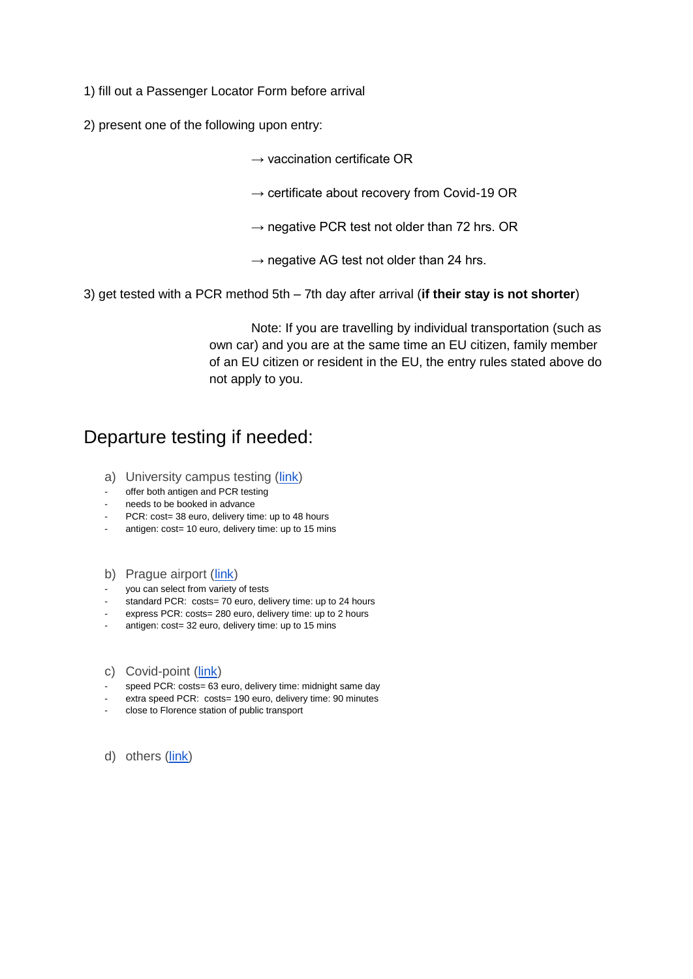1) fill out a Passenger Locator Form before arrival

2) present one of the following upon entry:

 $\rightarrow$  vaccination certificate OR

- $\rightarrow$  certificate about recovery from Covid-19 OR
- $\rightarrow$  negative PCR test not older than 72 hrs. OR
- $\rightarrow$  negative AG test not older than 24 hrs.
- 3) get tested with a PCR method 5th 7th day after arrival (**if their stay is not shorter**)

Note: If you are travelling by individual transportation (such as own car) and you are at the same time an EU citizen, family member of an EU citizen or resident in the EU, the entry rules stated above do not apply to you.

### Departure testing if needed:

- a) University campus testing [\(link\)](https://www.staynegative.cz/staynegative-praha-6-suchdol?lang=en)
- offer both antigen and PCR testing
- needs to be booked in advance
- PCR: cost= 38 euro, delivery time: up to 48 hours
- antigen: cost= 10 euro, delivery time: up to 15 mins
- b) Prague airport [\(link\)](https://www.prg.aero/en/testing-covid-19)
- you can select from variety of tests
- standard PCR: costs= 70 euro, delivery time: up to 24 hours
- express PCR: costs= 280 euro, delivery time: up to 2 hours
- antigen: cost= 32 euro, delivery time: up to 15 mins
- c) Covid-point [\(link\)](https://www.covidpoint.cz/covid-19-testing)
- speed PCR: costs= 63 euro, delivery time: midnight same day
- extra speed PCR: costs= 190 euro, delivery time: 90 minutes
- close to Florence station of public transport
- d) others [\(link\)](https://covid.praha.eu/)